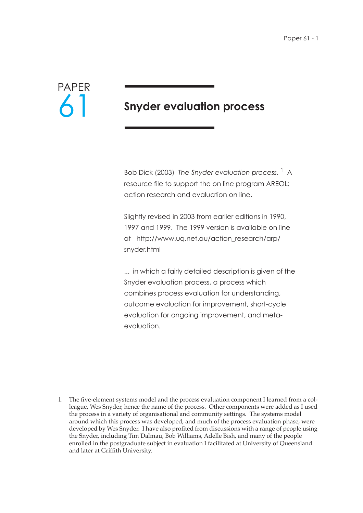

# **Snyder evaluation process**

Bob Dick (2003) *The Snyder evaluation process*. 1 A resource file to support the on line program AREOL: action research and evaluation on line.

Slightly revised in 2003 from earlier editions in 1990, 1997 and 1999. The 1999 version is available on line at http://www.uq.net.au/action\_research/arp/ snyder.html

... in which a fairly detailed description is given of the Snyder evaluation process, a process which combines process evaluation for understanding, outcome evaluation for improvement, short-cycle evaluation for ongoing improvement, and metaevaluation.

<sup>1.</sup> The five-element systems model and the process evaluation component I learned from a colleague, Wes Snyder, hence the name of the process. Other components were added as I used the process in a variety of organisational and community settings. The systems model around which this process was developed, and much of the process evaluation phase, were developed by Wes Snyder. I have also profited from discussions with a range of people using the Snyder, including Tim Dalmau, Bob Williams, Adelle Bish, and many of the people enrolled in the postgraduate subject in evaluation I facilitated at University of Queensland and later at Griffith University.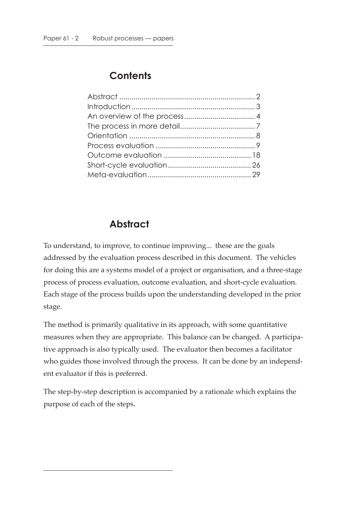# **Contents**

# **Abstract**

To understand, to improve, to continue improving... these are the goals addressed by the evaluation process described in this document. The vehicles for doing this are a systems model of a project or organisation, and a three-stage process of process evaluation, outcome evaluation, and short-cycle evaluation. Each stage of the process builds upon the understanding developed in the prior stage.

The method is primarily qualitative in its approach, with some quantitative measures when they are appropriate. This balance can be changed. A participative approach is also typically used. The evaluator then becomes a facilitator who guides those involved through the process. It can be done by an independent evaluator if this is preferred.

The step-by-step description is accompanied by a rationale which explains the purpose of each of the steps.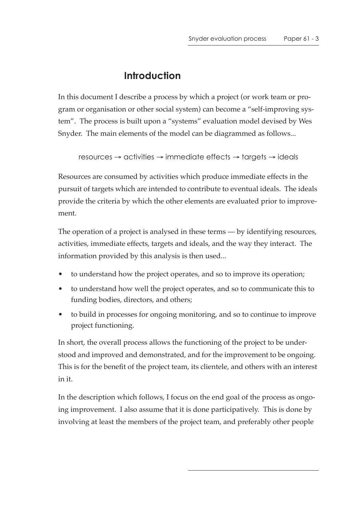# **Introduction**

In this document I describe a process by which a project (or work team or program or organisation or other social system) can become a "self-improving system". The process is built upon a "systems" evaluation model devised by Wes Snyder. The main elements of the model can be diagrammed as follows...

```
resources \rightarrow activities \rightarrow immediate effects \rightarrow targets \rightarrow ideals
```
Resources are consumed by activities which produce immediate effects in the pursuit of targets which are intended to contribute to eventual ideals. The ideals provide the criteria by which the other elements are evaluated prior to improvement.

The operation of a project is analysed in these terms — by identifying resources, activities, immediate effects, targets and ideals, and the way they interact. The information provided by this analysis is then used...

- to understand how the project operates, and so to improve its operation;
- to understand how well the project operates, and so to communicate this to funding bodies, directors, and others;
- to build in processes for ongoing monitoring, and so to continue to improve project functioning.

In short, the overall process allows the functioning of the project to be understood and improved and demonstrated, and for the improvement to be ongoing. This is for the benefit of the project team, its clientele, and others with an interest in it.

In the description which follows, I focus on the end goal of the process as ongoing improvement. I also assume that it is done participatively. This is done by involving at least the members of the project team, and preferably other people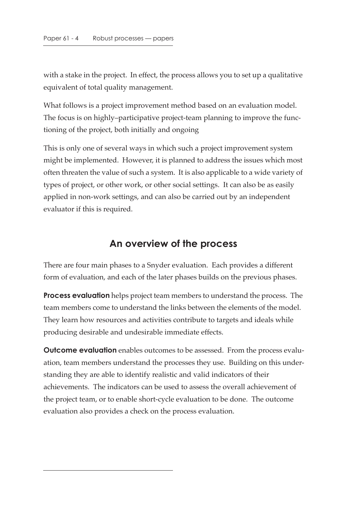with a stake in the project. In effect, the process allows you to set up a qualitative equivalent of total quality management.

What follows is a project improvement method based on an evaluation model. The focus is on highly–participative project-team planning to improve the functioning of the project, both initially and ongoing

This is only one of several ways in which such a project improvement system might be implemented. However, it is planned to address the issues which most often threaten the value of such a system. It is also applicable to a wide variety of types of project, or other work, or other social settings. It can also be as easily applied in non-work settings, and can also be carried out by an independent evaluator if this is required.

## **An overview of the process**

There are four main phases to a Snyder evaluation. Each provides a different form of evaluation, and each of the later phases builds on the previous phases.

**Process evaluation** helps project team members to understand the process. The team members come to understand the links between the elements of the model. They learn how resources and activities contribute to targets and ideals while producing desirable and undesirable immediate effects.

**Outcome evaluation** enables outcomes to be assessed. From the process evaluation, team members understand the processes they use. Building on this understanding they are able to identify realistic and valid indicators of their achievements. The indicators can be used to assess the overall achievement of the project team, or to enable short-cycle evaluation to be done. The outcome evaluation also provides a check on the process evaluation.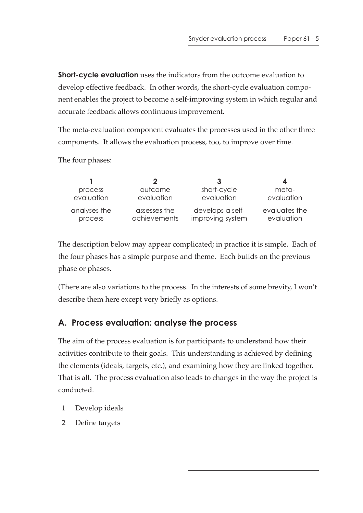**Short-cycle evaluation** uses the indicators from the outcome evaluation to develop effective feedback. In other words, the short-cycle evaluation component enables the project to become a self-improving system in which regular and accurate feedback allows continuous improvement.

The meta-evaluation component evaluates the processes used in the other three components. It allows the evaluation process, too, to improve over time.

The four phases:

|              | 2            | -3               |               |
|--------------|--------------|------------------|---------------|
| process      | outcome      | short-cycle      | meta-         |
| evaluation   | evaluation   | evaluation       | evaluation    |
| analyses the | assesses the | develops a self- | evaluates the |
| process      | achievements | improving system | evaluation    |

The description below may appear complicated; in practice it is simple. Each of the four phases has a simple purpose and theme. Each builds on the previous phase or phases.

(There are also variations to the process. In the interests of some brevity, I won't describe them here except very briefly as options.

# **A. Process evaluation: analyse the process**

The aim of the process evaluation is for participants to understand how their activities contribute to their goals. This understanding is achieved by defining the elements (ideals, targets, etc.), and examining how they are linked together. That is all. The process evaluation also leads to changes in the way the project is conducted.

- 1 Develop ideals
- 2 Define targets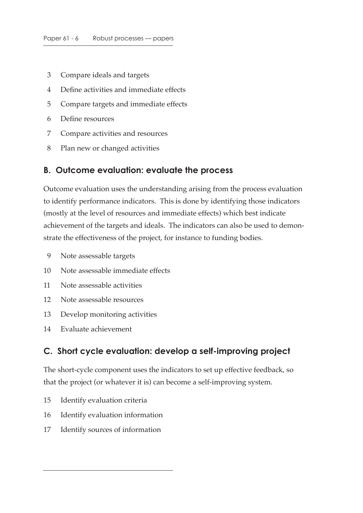- 3 Compare ideals and targets
- 4 Define activities and immediate effects
- 5 Compare targets and immediate effects
- 6 Define resources
- 7 Compare activities and resources
- 8 Plan new or changed activities

### **B. Outcome evaluation: evaluate the process**

Outcome evaluation uses the understanding arising from the process evaluation to identify performance indicators. This is done by identifying those indicators (mostly at the level of resources and immediate effects) which best indicate achievement of the targets and ideals. The indicators can also be used to demonstrate the effectiveness of the project, for instance to funding bodies.

- 9 Note assessable targets
- 10 Note assessable immediate effects
- 11 Note assessable activities
- 12 Note assessable resources
- 13 Develop monitoring activities
- 14 Evaluate achievement

## **C. Short cycle evaluation: develop a self-improving project**

The short-cycle component uses the indicators to set up effective feedback, so that the project (or whatever it is) can become a self-improving system.

- 15 Identify evaluation criteria
- 16 Identify evaluation information
- 17 Identify sources of information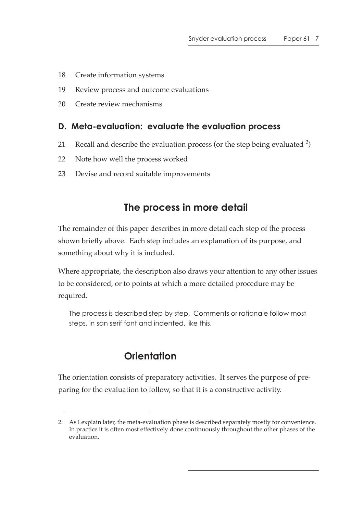- 18 Create information systems
- 19 Review process and outcome evaluations
- 20 Create review mechanisms

## **D. Meta-evaluation: evaluate the evaluation process**

- 21 Recall and describe the evaluation process (or the step being evaluated  $\frac{2}{3}$ )
- 22 Note how well the process worked
- 23 Devise and record suitable improvements

# **The process in more detail**

The remainder of this paper describes in more detail each step of the process shown briefly above. Each step includes an explanation of its purpose, and something about why it is included.

Where appropriate, the description also draws your attention to any other issues to be considered, or to points at which a more detailed procedure may be required.

The process is described step by step. Comments or rationale follow most steps, in san serif font and indented, like this.

# **Orientation**

The orientation consists of preparatory activities. It serves the purpose of preparing for the evaluation to follow, so that it is a constructive activity.

<sup>2.</sup> As I explain later, the meta-evaluation phase is described separately mostly for convenience. In practice it is often most effectively done continuously throughout the other phases of the evaluation.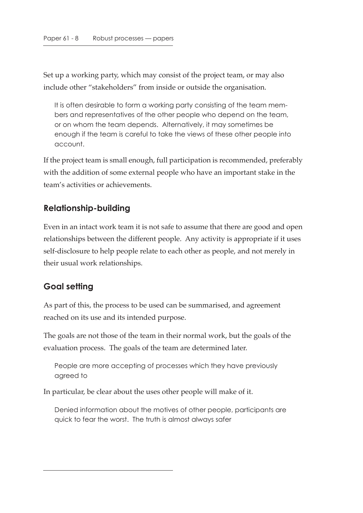Set up a working party, which may consist of the project team, or may also include other "stakeholders" from inside or outside the organisation.

It is often desirable to form a working party consisting of the team members and representatives of the other people who depend on the team, or on whom the team depends. Alternatively, it may sometimes be enough if the team is careful to take the views of these other people into account.

If the project team is small enough, full participation is recommended, preferably with the addition of some external people who have an important stake in the team's activities or achievements.

## **Relationship-building**

Even in an intact work team it is not safe to assume that there are good and open relationships between the different people. Any activity is appropriate if it uses self-disclosure to help people relate to each other as people, and not merely in their usual work relationships.

# **Goal setting**

As part of this, the process to be used can be summarised, and agreement reached on its use and its intended purpose.

The goals are not those of the team in their normal work, but the goals of the evaluation process. The goals of the team are determined later.

People are more accepting of processes which they have previously agreed to

In particular, be clear about the uses other people will make of it.

Denied information about the motives of other people, participants are quick to fear the worst. The truth is almost always safer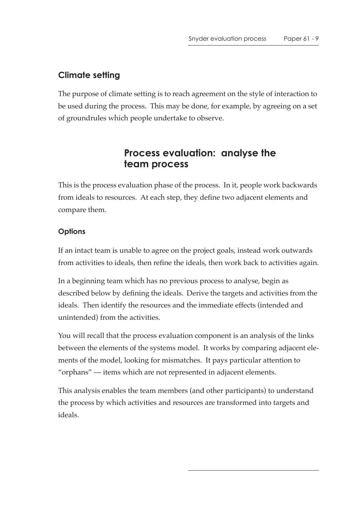# **Climate setting**

The purpose of climate setting is to reach agreement on the style of interaction to be used during the process. This may be done, for example, by agreeing on a set of groundrules which people undertake to observe.

# **Process evaluation: analyse the team process**

This is the process evaluation phase of the process. In it, people work backwards from ideals to resources. At each step, they define two adjacent elements and compare them.

## **Options**

If an intact team is unable to agree on the project goals, instead work outwards from activities to ideals, then refine the ideals, then work back to activities again.

In a beginning team which has no previous process to analyse, begin as described below by defining the ideals. Derive the targets and activities from the ideals. Then identify the resources and the immediate effects (intended and unintended) from the activities.

You will recall that the process evaluation component is an analysis of the links between the elements of the systems model. It works by comparing adjacent elements of the model, looking for mismatches. It pays particular attention to "orphans" — items which are not represented in adjacent elements.

This analysis enables the team members (and other participants) to understand the process by which activities and resources are transformed into targets and ideals.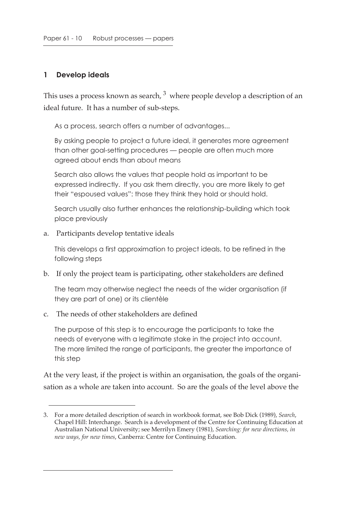#### **1 Develop ideals**

This uses a process known as search,  $3\overline{ }$  where people develop a description of an ideal future. It has a number of sub-steps.

As a process, search offers a number of advantages...

By asking people to project a future ideal, it generates more agreement than other goal-setting procedures — people are often much more agreed about ends than about means

Search also allows the values that people hold as important to be expressed indirectly. If you ask them directly, you are more likely to get their "espoused values": those they think they hold or should hold.

Search usually also further enhances the relationship-building which took place previously

a. Participants develop tentative ideals

This develops a first approximation to project ideals, to be refined in the following steps

b. If only the project team is participating, other stakeholders are defined

The team may otherwise neglect the needs of the wider organisation (if they are part of one) or its clientèle

c. The needs of other stakeholders are defined

The purpose of this step is to encourage the participants to take the needs of everyone with a legitimate stake in the project into account. The more limited the range of participants, the greater the importance of this step

At the very least, if the project is within an organisation, the goals of the organisation as a whole are taken into account. So are the goals of the level above the

<sup>3.</sup> For a more detailed description of search in workbook format, see Bob Dick (1989), *Search*, Chapel Hill: Interchange. Search is a development of the Centre for Continuing Education at Australian National University; see Merrilyn Emery (1981), *Searching: for new directions, in new ways, for new times*, Canberra: Centre for Continuing Education.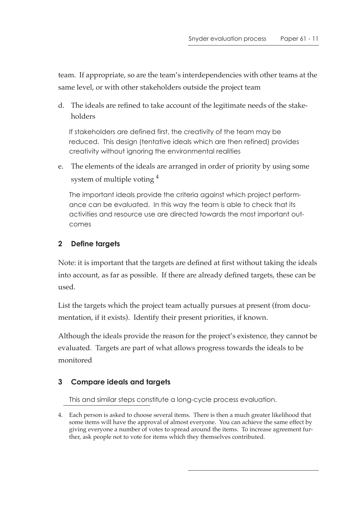team. If appropriate, so are the team's interdependencies with other teams at the same level, or with other stakeholders outside the project team

d. The ideals are refined to take account of the legitimate needs of the stakeholders

If stakeholders are defined first, the creativity of the team may be reduced. This design (tentative ideals which are then refined) provides creativity without ignoring the environmental realities

e. The elements of the ideals are arranged in order of priority by using some system of multiple voting  $4$ 

The important ideals provide the criteria against which project performance can be evaluated. In this way the team is able to check that its activities and resource use are directed towards the most important outcomes

## **2 Define targets**

Note: it is important that the targets are defined at first without taking the ideals into account, as far as possible. If there are already defined targets, these can be used.

List the targets which the project team actually pursues at present (from documentation, if it exists). Identify their present priorities, if known.

Although the ideals provide the reason for the project's existence, they cannot be evaluated. Targets are part of what allows progress towards the ideals to be monitored

## **3 Compare ideals and targets**

This and similar steps constitute a long-cycle process evaluation.

4. Each person is asked to choose several items. There is then a much greater likelihood that some items will have the approval of almost everyone. You can achieve the same effect by giving everyone a number of votes to spread around the items. To increase agreement further, ask people not to vote for items which they themselves contributed.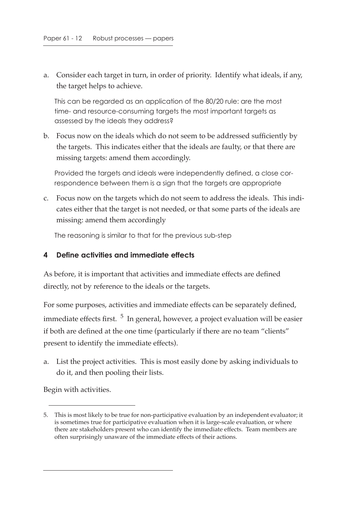a. Consider each target in turn, in order of priority. Identify what ideals, if any, the target helps to achieve.

This can be regarded as an application of the 80/20 rule: are the most time- and resource-consuming targets the most important targets as assessed by the ideals they address?

b. Focus now on the ideals which do not seem to be addressed sufficiently by the targets. This indicates either that the ideals are faulty, or that there are missing targets: amend them accordingly.

Provided the targets and ideals were independently defined, a close correspondence between them is a sign that the targets are appropriate

c. Focus now on the targets which do not seem to address the ideals. This indicates either that the target is not needed, or that some parts of the ideals are missing: amend them accordingly

The reasoning is similar to that for the previous sub-step

#### **4 Define activities and immediate effects**

As before, it is important that activities and immediate effects are defined directly, not by reference to the ideals or the targets.

For some purposes, activities and immediate effects can be separately defined, immediate effects first.  $5 \text{ In general, however, a project evaluation will be easier}$ if both are defined at the one time (particularly if there are no team "clients" present to identify the immediate effects).

a. List the project activities. This is most easily done by asking individuals to do it, and then pooling their lists.

Begin with activities.

<sup>5.</sup> This is most likely to be true for non-participative evaluation by an independent evaluator; it is sometimes true for participative evaluation when it is large-scale evaluation, or where there are stakeholders present who can identify the immediate effects. Team members are often surprisingly unaware of the immediate effects of their actions.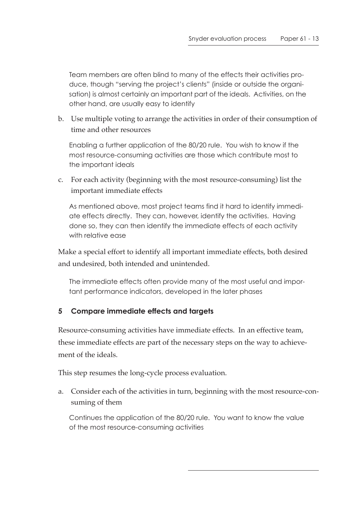Team members are often blind to many of the effects their activities produce, though "serving the project's clients" (inside or outside the organisation) is almost certainly an important part of the ideals. Activities, on the other hand, are usually easy to identify

b. Use multiple voting to arrange the activities in order of their consumption of time and other resources

Enabling a further application of the 80/20 rule. You wish to know if the most resource-consuming activities are those which contribute most to the important ideals

c. For each activity (beginning with the most resource-consuming) list the important immediate effects

As mentioned above, most project teams find it hard to identify immediate effects directly. They can, however, identify the activities. Having done so, they can then identify the immediate effects of each activity with relative ease

Make a special effort to identify all important immediate effects, both desired and undesired, both intended and unintended.

The immediate effects often provide many of the most useful and important performance indicators, developed in the later phases

#### **5 Compare immediate effects and targets**

Resource-consuming activities have immediate effects. In an effective team, these immediate effects are part of the necessary steps on the way to achievement of the ideals.

This step resumes the long-cycle process evaluation.

a. Consider each of the activities in turn, beginning with the most resource-consuming of them

Continues the application of the 80/20 rule. You want to know the value of the most resource-consuming activities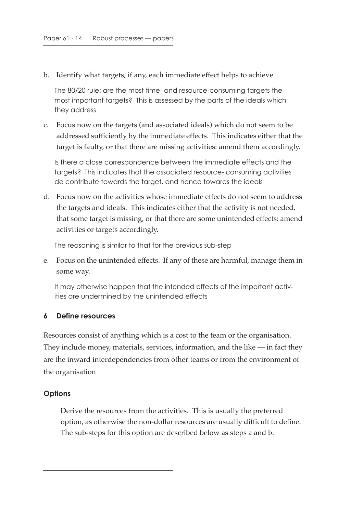b. Identify what targets, if any, each immediate effect helps to achieve

The 80/20 rule: are the most time- and resource-consuming targets the most important targets? This is assessed by the parts of the ideals which they address

c. Focus now on the targets (and associated ideals) which do not seem to be addressed sufficiently by the immediate effects. This indicates either that the target is faulty, or that there are missing activities: amend them accordingly.

Is there a close correspondence between the immediate effects and the targets? This indicates that the associated resource- consuming activities do contribute towards the target, and hence towards the ideals

d. Focus now on the activities whose immediate effects do not seem to address the targets and ideals. This indicates either that the activity is not needed, that some target is missing, or that there are some unintended effects: amend activities or targets accordingly.

The reasoning is similar to that for the previous sub-step

e. Focus on the unintended effects. If any of these are harmful, manage them in some way.

It may otherwise happen that the intended effects of the important activities are undermined by the unintended effects

#### **6 Define resources**

Resources consist of anything which is a cost to the team or the organisation. They include money, materials, services, information, and the like — in fact they are the inward interdependencies from other teams or from the environment of the organisation

#### **Options**

Derive the resources from the activities. This is usually the preferred option, as otherwise the non-dollar resources are usually difficult to define. The sub-steps for this option are described below as steps a and b.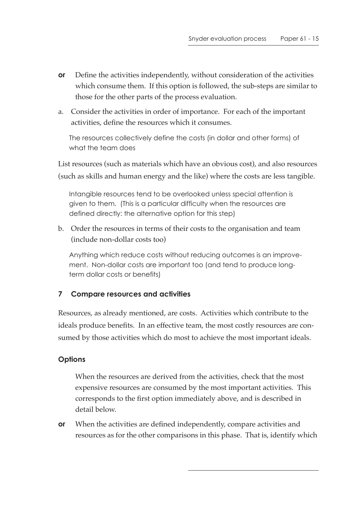- **or** Define the activities independently, without consideration of the activities which consume them. If this option is followed, the sub-steps are similar to those for the other parts of the process evaluation.
- a. Consider the activities in order of importance. For each of the important activities, define the resources which it consumes.

The resources collectively define the costs (in dollar and other forms) of what the team does

List resources (such as materials which have an obvious cost), and also resources (such as skills and human energy and the like) where the costs are less tangible.

Intangible resources tend to be overlooked unless special attention is given to them. (This is a particular difficulty when the resources are defined directly: the alternative option for this step)

b. Order the resources in terms of their costs to the organisation and team (include non-dollar costs too)

Anything which reduce costs without reducing outcomes is an improvement. Non-dollar costs are important too (and tend to produce longterm dollar costs or benefits)

## **7 Compare resources and activities**

Resources, as already mentioned, are costs. Activities which contribute to the ideals produce benefits. In an effective team, the most costly resources are consumed by those activities which do most to achieve the most important ideals.

## **Options**

When the resources are derived from the activities, check that the most expensive resources are consumed by the most important activities. This corresponds to the first option immediately above, and is described in detail below.

**or** When the activities are defined independently, compare activities and resources as for the other comparisons in this phase. That is, identify which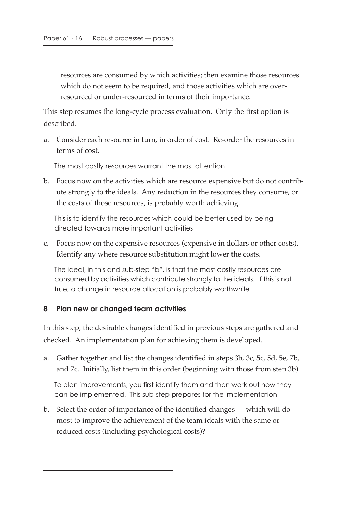resources are consumed by which activities; then examine those resources which do not seem to be required, and those activities which are overresourced or under-resourced in terms of their importance.

This step resumes the long-cycle process evaluation. Only the first option is described.

a. Consider each resource in turn, in order of cost. Re-order the resources in terms of cost.

The most costly resources warrant the most attention

b. Focus now on the activities which are resource expensive but do not contribute strongly to the ideals. Any reduction in the resources they consume, or the costs of those resources, is probably worth achieving.

This is to identify the resources which could be better used by being directed towards more important activities

c. Focus now on the expensive resources (expensive in dollars or other costs). Identify any where resource substitution might lower the costs.

The ideal, in this and sub-step "b", is that the most costly resources are consumed by activities which contribute strongly to the ideals. If this is not true, a change in resource allocation is probably worthwhile

#### **8 Plan new or changed team activities**

In this step, the desirable changes identified in previous steps are gathered and checked. An implementation plan for achieving them is developed.

a. Gather together and list the changes identified in steps 3b, 3c, 5c, 5d, 5e, 7b, and 7c. Initially, list them in this order (beginning with those from step 3b)

To plan improvements, you first identify them and then work out how they can be implemented. This sub-step prepares for the implementation

b. Select the order of importance of the identified changes — which will do most to improve the achievement of the team ideals with the same or reduced costs (including psychological costs)?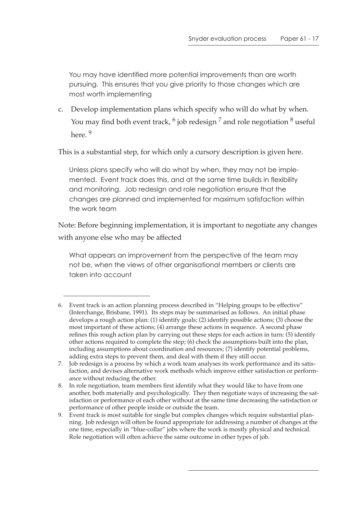You may have identified more potential improvements than are worth pursuing. This ensures that you give priority to those changes which are most worth implementing

c. Develop implementation plans which specify who will do what by when. You may find both event track,  $\frac{6}{9}$  job redesign  $\frac{7}{9}$  and role negotiation  $\frac{8}{9}$  useful here. 9

This is a substantial step, for which only a cursory description is given here.

Unless plans specify who will do what by when, they may not be implemented. Event track does this, and at the same time builds in flexibility and monitoring. Job redesign and role negotiation ensure that the changes are planned and implemented for maximum satisfaction within the work team

Note: Before beginning implementation, it is important to negotiate any changes with anyone else who may be affected

What appears an improvement from the perspective of the team may not be, when the views of other organisational members or clients are taken into account

<sup>6.</sup> Event track is an action planning process described in "Helping groups to be effective" (Interchange, Brisbane, 1991). Its steps may be summarised as follows. An initial phase develops a rough action plan: (1) identify goals; (2) identify possible actions; (3) choose the most important of these actions; (4) arrange these actions in sequence. A second phase refines this rough action plan by carrying out these steps for each action in turn: (5) identify other actions required to complete the step; (6) check the assumptions built into the plan, including assumptions about coordination and resources; (7) identify potential problems, adding extra steps to prevent them, and deal with them if they still occur.

<sup>7.</sup> Job redesign is a process by which a work team analyses its work performance and its satisfaction, and devises alternative work methods which improve either satisfaction or performance without reducing the other.

<sup>8.</sup> In role negotiation, team members first identify what they would like to have from one another, both materially and psychologically. They then negotiate ways of increasing the satisfaction or performance of each other without at the same time decreasing the satisfaction or performance of other people inside or outside the team.

<sup>9.</sup> Event track is most suitable for single but complex changes which require substantial planning. Job redesign will often be found appropriate for addressing a number of changes at the one time, especially in "blue-collar" jobs where the work is mostly physical and technical. Role negotiation will often achieve the same outcome in other types of job.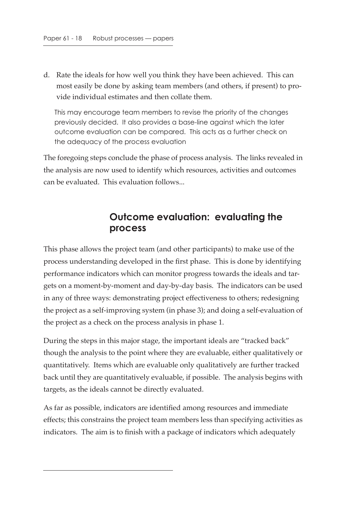d. Rate the ideals for how well you think they have been achieved. This can most easily be done by asking team members (and others, if present) to provide individual estimates and then collate them.

This may encourage team members to revise the priority of the changes previously decided. It also provides a base-line against which the later outcome evaluation can be compared. This acts as a further check on the adequacy of the process evaluation

The foregoing steps conclude the phase of process analysis. The links revealed in the analysis are now used to identify which resources, activities and outcomes can be evaluated. This evaluation follows...

# **Outcome evaluation: evaluating the process**

This phase allows the project team (and other participants) to make use of the process understanding developed in the first phase. This is done by identifying performance indicators which can monitor progress towards the ideals and targets on a moment-by-moment and day-by-day basis. The indicators can be used in any of three ways: demonstrating project effectiveness to others; redesigning the project as a self-improving system (in phase 3); and doing a self-evaluation of the project as a check on the process analysis in phase 1.

During the steps in this major stage, the important ideals are "tracked back" though the analysis to the point where they are evaluable, either qualitatively or quantitatively. Items which are evaluable only qualitatively are further tracked back until they are quantitatively evaluable, if possible. The analysis begins with targets, as the ideals cannot be directly evaluated.

As far as possible, indicators are identified among resources and immediate effects; this constrains the project team members less than specifying activities as indicators. The aim is to finish with a package of indicators which adequately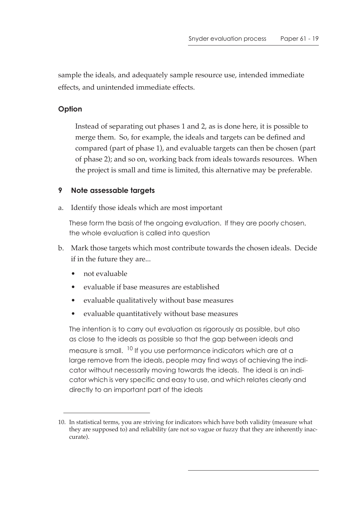sample the ideals, and adequately sample resource use, intended immediate effects, and unintended immediate effects.

### **Option**

Instead of separating out phases 1 and 2, as is done here, it is possible to merge them. So, for example, the ideals and targets can be defined and compared (part of phase 1), and evaluable targets can then be chosen (part of phase 2); and so on, working back from ideals towards resources. When the project is small and time is limited, this alternative may be preferable.

### **9 Note assessable targets**

a. Identify those ideals which are most important

These form the basis of the ongoing evaluation. If they are poorly chosen, the whole evaluation is called into question

- b. Mark those targets which most contribute towards the chosen ideals. Decide if in the future they are...
	- not evaluable
	- evaluable if base measures are established
	- evaluable qualitatively without base measures
	- evaluable quantitatively without base measures

The intention is to carry out evaluation as rigorously as possible, but also as close to the ideals as possible so that the gap between ideals and measure is small. <sup>10</sup> If you use performance indicators which are at a large remove from the ideals, people may find ways of achieving the indicator without necessarily moving towards the ideals. The ideal is an indicator which is very specific and easy to use, and which relates clearly and directly to an important part of the ideals

<sup>10.</sup> In statistical terms, you are striving for indicators which have both validity (measure what they are supposed to) and reliability (are not so vague or fuzzy that they are inherently inaccurate).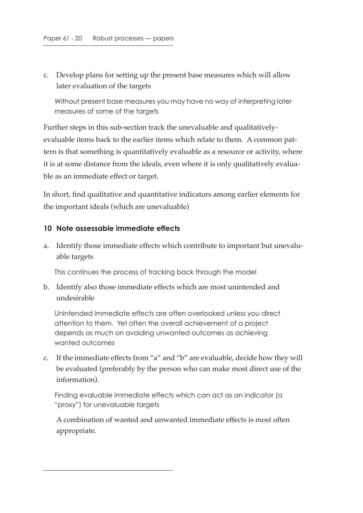c. Develop plans for setting up the present base measures which will allow later evaluation of the targets

Without present base measures you may have no way of interpreting later measures of some of the targets

Further steps in this sub-section track the unevaluable and qualitativelyevaluable items back to the earlier items which relate to them. A common pattern is that something is quantitatively evaluable as a resource or activity, where it is at some distance from the ideals, even where it is only qualitatively evaluable as an immediate effect or target.

In short, find qualitative and quantitative indicators among earlier elements for the important ideals (which are unevaluable)

#### **10 Note assessable immediate effects**

a. Identify those immediate effects which contribute to important but unevaluable targets

This continues the process of tracking back through the model

b. Identify also those immediate effects which are most unintended and undesirable

Unintended immediate effects are often overlooked unless you direct attention to them. Yet often the overall achievement of a project depends as much on avoiding unwanted outcomes as achieving wanted outcomes

c. If the immediate effects from "a" and "b" are evaluable, decide how they will be evaluated (preferably by the person who can make most direct use of the information).

Finding evaluable immediate effects which can act as an indicator (a "proxy") for unevaluable targets

A combination of wanted and unwanted immediate effects is most often appropriate.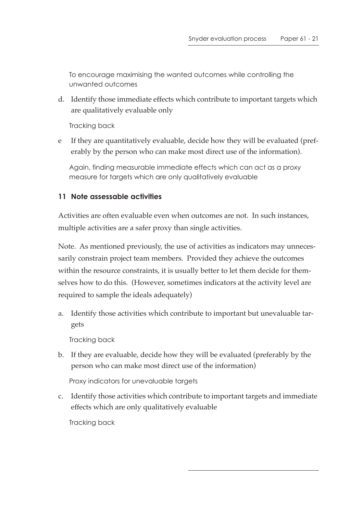To encourage maximising the wanted outcomes while controlling the unwanted outcomes

d. Identify those immediate effects which contribute to important targets which are qualitatively evaluable only

Tracking back

e If they are quantitatively evaluable, decide how they will be evaluated (preferably by the person who can make most direct use of the information).

Again, finding measurable immediate effects which can act as a proxy measure for targets which are only qualitatively evaluable

#### **11 Note assessable activities**

Activities are often evaluable even when outcomes are not. In such instances, multiple activities are a safer proxy than single activities.

Note. As mentioned previously, the use of activities as indicators may unnecessarily constrain project team members. Provided they achieve the outcomes within the resource constraints, it is usually better to let them decide for themselves how to do this. (However, sometimes indicators at the activity level are required to sample the ideals adequately)

a. Identify those activities which contribute to important but unevaluable targets

Tracking back

b. If they are evaluable, decide how they will be evaluated (preferably by the person who can make most direct use of the information)

Proxy indicators for unevaluable targets

c. Identify those activities which contribute to important targets and immediate effects which are only qualitatively evaluable

Tracking back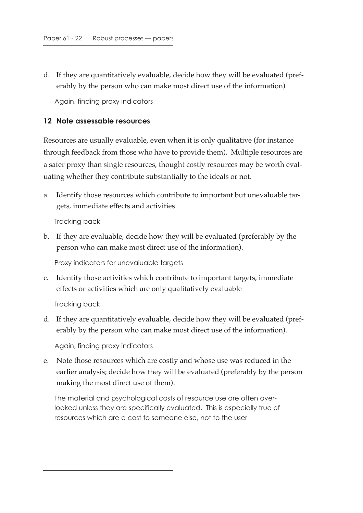d. If they are quantitatively evaluable, decide how they will be evaluated (preferably by the person who can make most direct use of the information)

Again, finding proxy indicators

#### **12 Note assessable resources**

Resources are usually evaluable, even when it is only qualitative (for instance through feedback from those who have to provide them). Multiple resources are a safer proxy than single resources, thought costly resources may be worth evaluating whether they contribute substantially to the ideals or not.

a. Identify those resources which contribute to important but unevaluable targets, immediate effects and activities

Tracking back

b. If they are evaluable, decide how they will be evaluated (preferably by the person who can make most direct use of the information).

Proxy indicators for unevaluable targets

c. Identify those activities which contribute to important targets, immediate effects or activities which are only qualitatively evaluable

Tracking back

d. If they are quantitatively evaluable, decide how they will be evaluated (preferably by the person who can make most direct use of the information).

Again, finding proxy indicators

e. Note those resources which are costly and whose use was reduced in the earlier analysis; decide how they will be evaluated (preferably by the person making the most direct use of them).

The material and psychological costs of resource use are often overlooked unless they are specifically evaluated. This is especially true of resources which are a cost to someone else, not to the user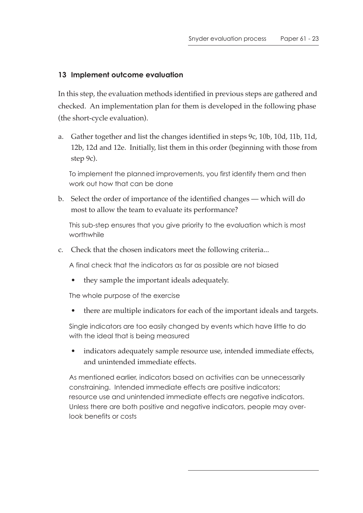#### **13 Implement outcome evaluation**

In this step, the evaluation methods identified in previous steps are gathered and checked. An implementation plan for them is developed in the following phase (the short-cycle evaluation).

a. Gather together and list the changes identified in steps 9c, 10b, 10d, 11b, 11d, 12b, 12d and 12e. Initially, list them in this order (beginning with those from step 9c).

To implement the planned improvements, you first identify them and then work out how that can be done

b. Select the order of importance of the identified changes — which will do most to allow the team to evaluate its performance?

This sub-step ensures that you give priority to the evaluation which is most worthwhile

c. Check that the chosen indicators meet the following criteria...

A final check that the indicators as far as possible are not biased

• they sample the important ideals adequately.

The whole purpose of the exercise

• there are multiple indicators for each of the important ideals and targets.

Single indicators are too easily changed by events which have little to do with the ideal that is being measured

indicators adequately sample resource use, intended immediate effects, and unintended immediate effects.

As mentioned earlier, indicators based on activities can be unnecessarily constraining. Intended immediate effects are positive indicators; resource use and unintended immediate effects are negative indicators. Unless there are both positive and negative indicators, people may overlook benefits or costs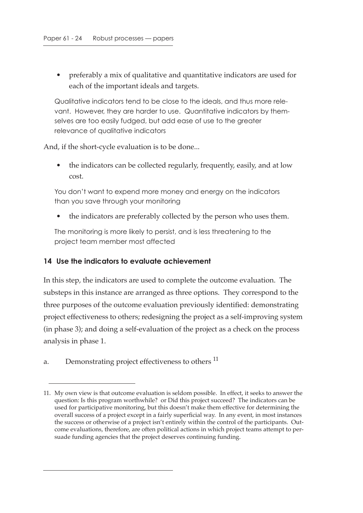• preferably a mix of qualitative and quantitative indicators are used for each of the important ideals and targets.

Qualitative indicators tend to be close to the ideals, and thus more relevant. However, they are harder to use. Quantitative indicators by themselves are too easily fudged, but add ease of use to the greater relevance of qualitative indicators

And, if the short-cycle evaluation is to be done...

• the indicators can be collected regularly, frequently, easily, and at low cost.

You don't want to expend more money and energy on the indicators than you save through your monitoring

• the indicators are preferably collected by the person who uses them.

The monitoring is more likely to persist, and is less threatening to the project team member most affected

## **14 Use the indicators to evaluate achievement**

In this step, the indicators are used to complete the outcome evaluation. The substeps in this instance are arranged as three options. They correspond to the three purposes of the outcome evaluation previously identified: demonstrating project effectiveness to others; redesigning the project as a self-improving system (in phase 3); and doing a self-evaluation of the project as a check on the process analysis in phase 1.

a. Demonstrating project effectiveness to others <sup>11</sup>

<sup>11.</sup> My own view is that outcome evaluation is seldom possible. In effect, it seeks to answer the question: Is this program worthwhile? or Did this project succeed? The indicators can be used for participative monitoring, but this doesn't make them effective for determining the overall success of a project except in a fairly superficial way. In any event, in most instances the success or otherwise of a project isn't entirely within the control of the participants. Outcome evaluations, therefore, are often political actions in which project teams attempt to persuade funding agencies that the project deserves continuing funding.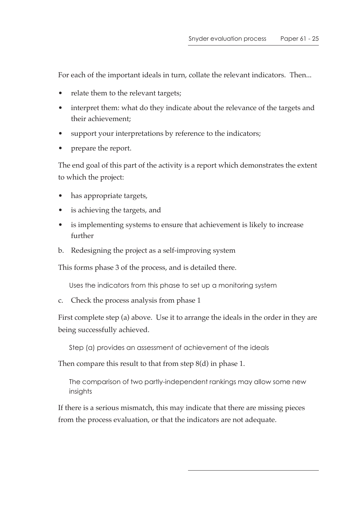For each of the important ideals in turn, collate the relevant indicators. Then...

- relate them to the relevant targets;
- interpret them: what do they indicate about the relevance of the targets and their achievement;
- support your interpretations by reference to the indicators;
- prepare the report.

The end goal of this part of the activity is a report which demonstrates the extent to which the project:

- has appropriate targets,
- is achieving the targets, and
- is implementing systems to ensure that achievement is likely to increase further
- b. Redesigning the project as a self-improving system

This forms phase 3 of the process, and is detailed there.

Uses the indicators from this phase to set up a monitoring system

c. Check the process analysis from phase 1

First complete step (a) above. Use it to arrange the ideals in the order in they are being successfully achieved.

Step (a) provides an assessment of achievement of the ideals

Then compare this result to that from step 8(d) in phase 1.

The comparison of two partly-independent rankings may allow some new insights

If there is a serious mismatch, this may indicate that there are missing pieces from the process evaluation, or that the indicators are not adequate.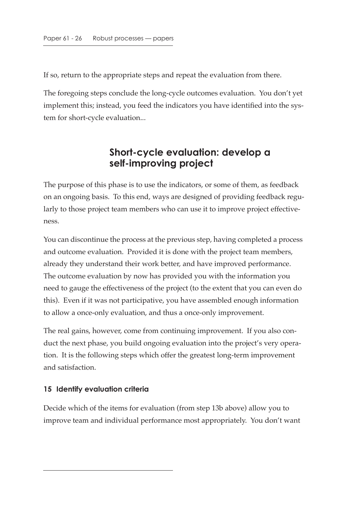If so, return to the appropriate steps and repeat the evaluation from there.

The foregoing steps conclude the long-cycle outcomes evaluation. You don't yet implement this; instead, you feed the indicators you have identified into the system for short-cycle evaluation...

# **Short-cycle evaluation: develop a self-improving project**

The purpose of this phase is to use the indicators, or some of them, as feedback on an ongoing basis. To this end, ways are designed of providing feedback regularly to those project team members who can use it to improve project effectiveness.

You can discontinue the process at the previous step, having completed a process and outcome evaluation. Provided it is done with the project team members, already they understand their work better, and have improved performance. The outcome evaluation by now has provided you with the information you need to gauge the effectiveness of the project (to the extent that you can even do this). Even if it was not participative, you have assembled enough information to allow a once-only evaluation, and thus a once-only improvement.

The real gains, however, come from continuing improvement. If you also conduct the next phase, you build ongoing evaluation into the project's very operation. It is the following steps which offer the greatest long-term improvement and satisfaction.

## **15 Identify evaluation criteria**

Decide which of the items for evaluation (from step 13b above) allow you to improve team and individual performance most appropriately. You don't want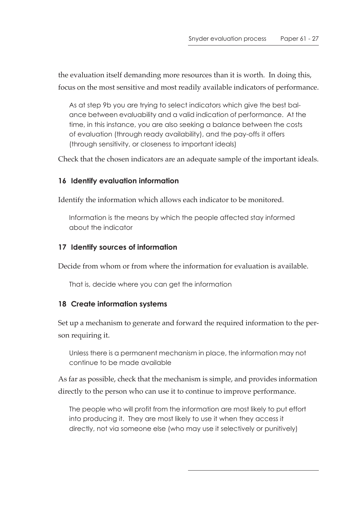the evaluation itself demanding more resources than it is worth. In doing this, focus on the most sensitive and most readily available indicators of performance.

As at step 9b you are trying to select indicators which give the best balance between evaluability and a valid indication of performance. At the time, in this instance, you are also seeking a balance between the costs of evaluation (through ready availability), and the pay-offs it offers (through sensitivity, or closeness to important ideals)

Check that the chosen indicators are an adequate sample of the important ideals.

#### **16 Identify evaluation information**

Identify the information which allows each indicator to be monitored.

Information is the means by which the people affected stay informed about the indicator

#### **17 Identify sources of information**

Decide from whom or from where the information for evaluation is available.

That is, decide where you can get the information

#### **18 Create information systems**

Set up a mechanism to generate and forward the required information to the person requiring it.

Unless there is a permanent mechanism in place, the information may not continue to be made available

As far as possible, check that the mechanism is simple, and provides information directly to the person who can use it to continue to improve performance.

The people who will profit from the information are most likely to put effort into producing it. They are most likely to use it when they access it directly, not via someone else (who may use it selectively or punitively)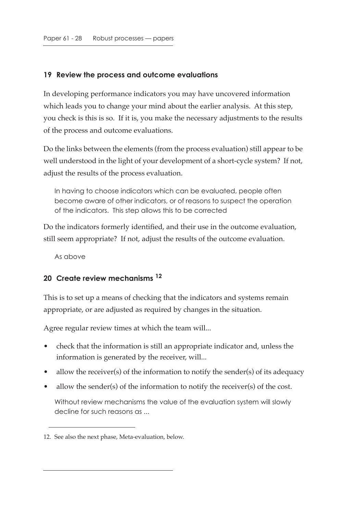#### **19 Review the process and outcome evaluations**

In developing performance indicators you may have uncovered information which leads you to change your mind about the earlier analysis. At this step, you check is this is so. If it is, you make the necessary adjustments to the results of the process and outcome evaluations.

Do the links between the elements (from the process evaluation) still appear to be well understood in the light of your development of a short-cycle system? If not, adjust the results of the process evaluation.

In having to choose indicators which can be evaluated, people often become aware of other indicators, or of reasons to suspect the operation of the indicators. This step allows this to be corrected

Do the indicators formerly identified, and their use in the outcome evaluation, still seem appropriate? If not, adjust the results of the outcome evaluation.

As above

## **20 Create review mechanisms 12**

This is to set up a means of checking that the indicators and systems remain appropriate, or are adjusted as required by changes in the situation.

Agree regular review times at which the team will...

- check that the information is still an appropriate indicator and, unless the information is generated by the receiver, will...
- allow the receiver(s) of the information to notify the sender(s) of its adequacy
- allow the sender(s) of the information to notify the receiver(s) of the cost.

Without review mechanisms the value of the evaluation system will slowly decline for such reasons as ...

<sup>12.</sup> See also the next phase, Meta-evaluation, below.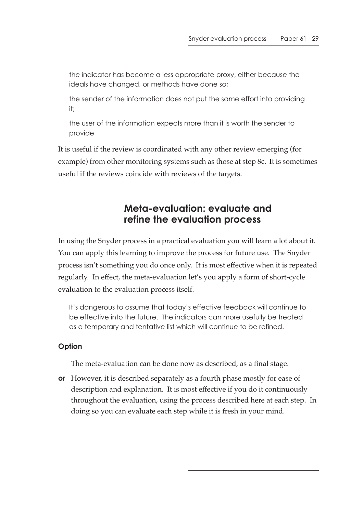the indicator has become a less appropriate proxy, either because the ideals have changed, or methods have done so;

the sender of the information does not put the same effort into providing it;

 the user of the information expects more than it is worth the sender to provide

It is useful if the review is coordinated with any other review emerging (for example) from other monitoring systems such as those at step 8c. It is sometimes useful if the reviews coincide with reviews of the targets.

# **Meta-evaluation: evaluate and refine the evaluation process**

In using the Snyder process in a practical evaluation you will learn a lot about it. You can apply this learning to improve the process for future use. The Snyder process isn't something you do once only. It is most effective when it is repeated regularly. In effect, the meta-evaluation let's you apply a form of short-cycle evaluation to the evaluation process itself.

It's dangerous to assume that today's effective feedback will continue to be effective into the future. The indicators can more usefully be treated as a temporary and tentative list which will continue to be refined.

#### **Option**

The meta-evaluation can be done now as described, as a final stage.

**or** However, it is described separately as a fourth phase mostly for ease of description and explanation. It is most effective if you do it continuously throughout the evaluation, using the process described here at each step. In doing so you can evaluate each step while it is fresh in your mind.